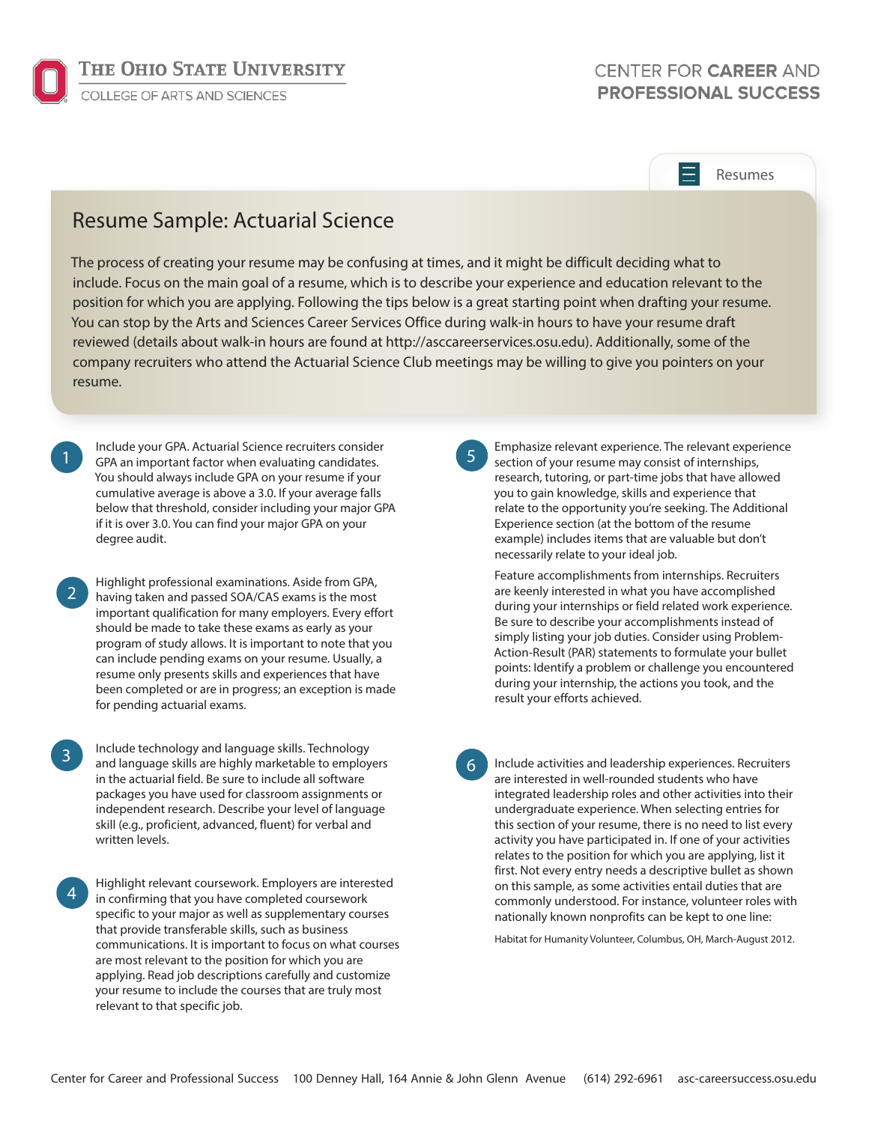

## CENTER FOR CAREER AND **PROFESSIONAL SUCCESS**

## Resumes

## Resume Sample: Actuarial Science

The process of creating your resume may be confusing at times, and it might be difficult deciding what to include. Focus on the main goal of a resume, which is to describe your experience and education relevant to the position for which you are applying. Following the tips below is a great starting point when drafting your resume. You can stop by the Arts and Sciences Career Services Office during walk-in hours to have your resume draft reviewed (details about walk-in hours are found at http://asccareerservices.osu.edu). Additionally, some of the company recruiters who attend the Actuarial Science Club meetings may be willing to give you pointers on your resume.

Include your GPA. Actuarial Science recruiters consider GPA an important factor when evaluating candidates. You should always include GPA on your resume if your cumulative average is above a 3.0. If your average falls below that threshold, consider including your major GPA if it is over 3.0. You can find your major GPA on your degree audit.

1

2

Highlight professional examinations. Aside from GPA, having taken and passed SOA/CAS exams is the most important qualification for many employers. Every effort should be made to take these exams as early as your program of study allows. It is important to note that you can include pending exams on your resume. Usually, a resume only presents skills and experiences that have been completed or are in progress; an exception is made for pending actuarial exams.

Include technology and language skills. Technology and language skills are highly marketable to employers in the actuarial field. Be sure to include all software packages you have used for classroom assignments or independent research. Describe your level of language skill (e.g., proficient, advanced, fluent) for verbal and written levels. 3

Highlight relevant coursework. Employers are interested in confirming that you have completed coursework specific to your major as well as supplementary courses that provide transferable skills, such as business communications. It is important to focus on what courses are most relevant to the position for which you are applying. Read job descriptions carefully and customize your resume to include the courses that are truly most relevant to that specific job. 4

5

Emphasize relevant experience. The relevant experience section of your resume may consist of internships, research, tutoring, or part-time jobs that have allowed you to gain knowledge, skills and experience that relate to the opportunity you're seeking. The Additional Experience section (at the bottom of the resume example) includes items that are valuable but don't necessarily relate to your ideal job.

Feature accomplishments from internships. Recruiters are keenly interested in what you have accomplished during your internships or field related work experience. Be sure to describe your accomplishments instead of simply listing your job duties. Consider using Problem-Action-Result (PAR) statements to formulate your bullet points: Identify a problem or challenge you encountered during your internship, the actions you took, and the result your efforts achieved.

6

Include activities and leadership experiences. Recruiters are interested in well-rounded students who have integrated leadership roles and other activities into their undergraduate experience. When selecting entries for this section of your resume, there is no need to list every activity you have participated in. If one of your activities relates to the position for which you are applying, list it first. Not every entry needs a descriptive bullet as shown on this sample, as some activities entail duties that are commonly understood. For instance, volunteer roles with nationally known nonprofits can be kept to one line:

Habitat for Humanity Volunteer, Columbus, OH, March-August 2012.